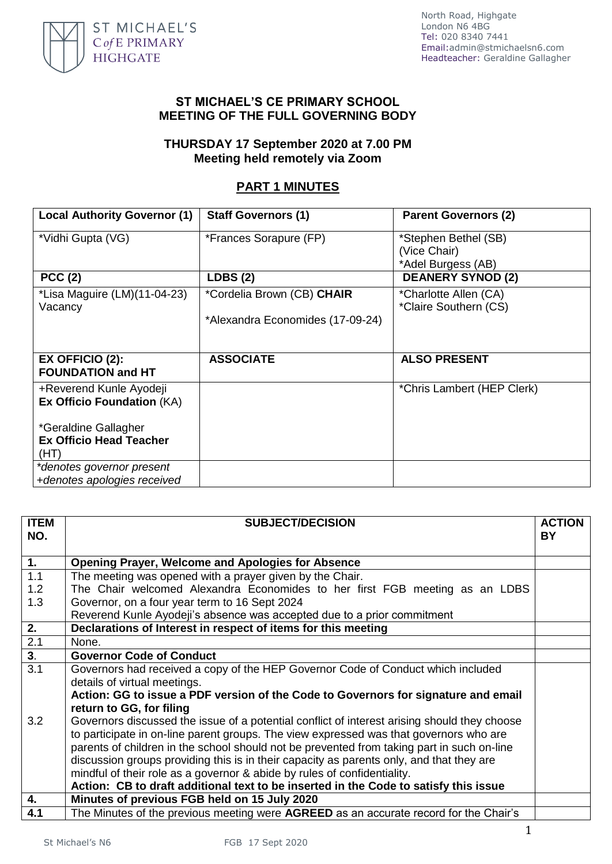

### **ST MICHAEL'S CE PRIMARY SCHOOL MEETING OF THE FULL GOVERNING BODY**

### **THURSDAY 17 September 2020 at 7.00 PM Meeting held remotely via Zoom**

# **PART 1 MINUTES**

| <b>Local Authority Governor (1)</b>         | <b>Staff Governors (1)</b>       | <b>Parent Governors (2)</b>          |
|---------------------------------------------|----------------------------------|--------------------------------------|
| *Vidhi Gupta (VG)                           | *Frances Sorapure (FP)           | *Stephen Bethel (SB)<br>(Vice Chair) |
|                                             |                                  | *Adel Burgess (AB)                   |
| PCC(2)                                      | <b>LDBS (2)</b>                  | <b>DEANERY SYNOD (2)</b>             |
| *Lisa Maguire (LM)(11-04-23)                | *Cordelia Brown (CB) CHAIR       | *Charlotte Allen (CA)                |
| Vacancy                                     |                                  | *Claire Southern (CS)                |
|                                             | *Alexandra Economides (17-09-24) |                                      |
|                                             |                                  |                                      |
| EX OFFICIO (2):<br><b>FOUNDATION and HT</b> | <b>ASSOCIATE</b>                 | <b>ALSO PRESENT</b>                  |
| +Reverend Kunle Ayodeji                     |                                  | *Chris Lambert (HEP Clerk)           |
| <b>Ex Officio Foundation (KA)</b>           |                                  |                                      |
| *Geraldine Gallagher                        |                                  |                                      |
| <b>Ex Officio Head Teacher</b>              |                                  |                                      |
| (HT)                                        |                                  |                                      |
| *denotes governor present                   |                                  |                                      |
| +denotes apologies received                 |                                  |                                      |

| <b>ITEM</b><br>NO.          | <b>SUBJECT/DECISION</b>                                                                      | <b>ACTION</b><br>BY. |
|-----------------------------|----------------------------------------------------------------------------------------------|----------------------|
|                             |                                                                                              |                      |
| 1.                          | <b>Opening Prayer, Welcome and Apologies for Absence</b>                                     |                      |
| 1.1                         | The meeting was opened with a prayer given by the Chair.                                     |                      |
| 1.2                         | The Chair welcomed Alexandra Economides to her first FGB meeting as an LDBS                  |                      |
| 1.3                         | Governor, on a four year term to 16 Sept 2024                                                |                      |
|                             | Reverend Kunle Ayodeji's absence was accepted due to a prior commitment                      |                      |
| $\overline{2}$ .            | Declarations of Interest in respect of items for this meeting                                |                      |
| 2.1                         | None.                                                                                        |                      |
| $\overline{\overline{3}}$ . | <b>Governor Code of Conduct</b>                                                              |                      |
| $\overline{3.1}$            | Governors had received a copy of the HEP Governor Code of Conduct which included             |                      |
|                             | details of virtual meetings.                                                                 |                      |
|                             | Action: GG to issue a PDF version of the Code to Governors for signature and email           |                      |
|                             | return to GG, for filing                                                                     |                      |
| 3.2                         | Governors discussed the issue of a potential conflict of interest arising should they choose |                      |
|                             | to participate in on-line parent groups. The view expressed was that governors who are       |                      |
|                             | parents of children in the school should not be prevented from taking part in such on-line   |                      |
|                             | discussion groups providing this is in their capacity as parents only, and that they are     |                      |
|                             | mindful of their role as a governor & abide by rules of confidentiality.                     |                      |
|                             | Action: CB to draft additional text to be inserted in the Code to satisfy this issue         |                      |
| $\overline{4}$ .            | Minutes of previous FGB held on 15 July 2020                                                 |                      |
| 4.1                         | The Minutes of the previous meeting were AGREED as an accurate record for the Chair's        |                      |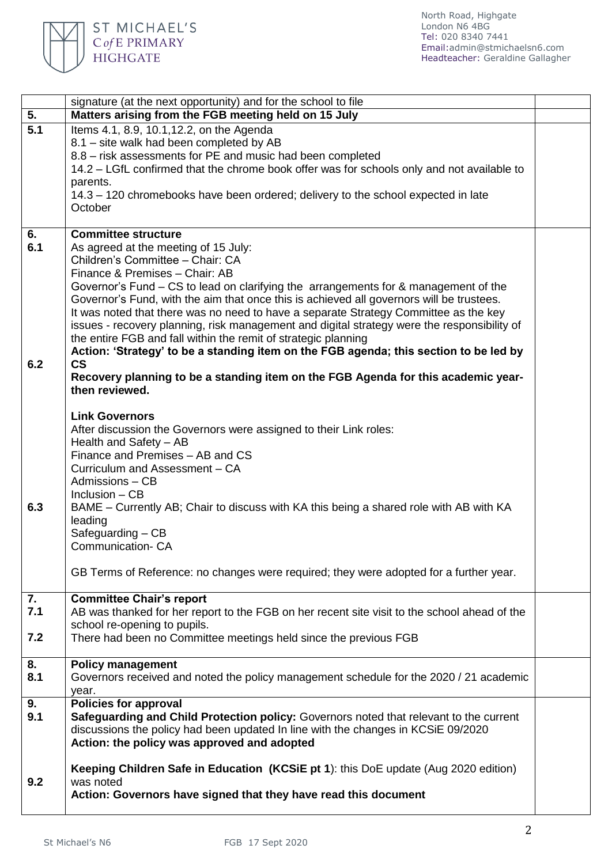

| 5.               | signature (at the next opportunity) and for the school to file<br>Matters arising from the FGB meeting held on 15 July                                                      |  |
|------------------|-----------------------------------------------------------------------------------------------------------------------------------------------------------------------------|--|
| $\overline{5.1}$ | Items 4.1, 8.9, 10.1, 12.2, on the Agenda                                                                                                                                   |  |
|                  | 8.1 - site walk had been completed by AB                                                                                                                                    |  |
|                  | 8.8 - risk assessments for PE and music had been completed                                                                                                                  |  |
|                  | 14.2 – LGfL confirmed that the chrome book offer was for schools only and not available to                                                                                  |  |
|                  | parents.<br>14.3 – 120 chromebooks have been ordered; delivery to the school expected in late                                                                               |  |
|                  | October                                                                                                                                                                     |  |
|                  |                                                                                                                                                                             |  |
| 6.               | <b>Committee structure</b>                                                                                                                                                  |  |
| 6.1              | As agreed at the meeting of 15 July:                                                                                                                                        |  |
|                  | Children's Committee - Chair: CA                                                                                                                                            |  |
|                  | Finance & Premises - Chair: AB<br>Governor's Fund – CS to lead on clarifying the arrangements for & management of the                                                       |  |
|                  | Governor's Fund, with the aim that once this is achieved all governors will be trustees.                                                                                    |  |
|                  | It was noted that there was no need to have a separate Strategy Committee as the key                                                                                        |  |
|                  | issues - recovery planning, risk management and digital strategy were the responsibility of                                                                                 |  |
|                  | the entire FGB and fall within the remit of strategic planning                                                                                                              |  |
| 6.2              | Action: 'Strategy' to be a standing item on the FGB agenda; this section to be led by<br>$\mathsf{CS}\phantom{0}$                                                           |  |
|                  | Recovery planning to be a standing item on the FGB Agenda for this academic year-                                                                                           |  |
|                  | then reviewed.                                                                                                                                                              |  |
|                  |                                                                                                                                                                             |  |
|                  | <b>Link Governors</b>                                                                                                                                                       |  |
|                  | After discussion the Governors were assigned to their Link roles:<br>Health and Safety - AB                                                                                 |  |
|                  | Finance and Premises - AB and CS                                                                                                                                            |  |
|                  | Curriculum and Assessment - CA                                                                                                                                              |  |
|                  | Admissions - CB                                                                                                                                                             |  |
|                  | Inclusion $-$ CB                                                                                                                                                            |  |
| 6.3              | BAME – Currently AB; Chair to discuss with KA this being a shared role with AB with KA<br>leading                                                                           |  |
|                  | Safeguarding - CB                                                                                                                                                           |  |
|                  | Communication-CA                                                                                                                                                            |  |
|                  |                                                                                                                                                                             |  |
|                  | GB Terms of Reference: no changes were required; they were adopted for a further year.                                                                                      |  |
| 7.               | <b>Committee Chair's report</b>                                                                                                                                             |  |
| 7.1              | AB was thanked for her report to the FGB on her recent site visit to the school ahead of the                                                                                |  |
|                  | school re-opening to pupils.                                                                                                                                                |  |
| 7.2              | There had been no Committee meetings held since the previous FGB                                                                                                            |  |
| 8.               | <b>Policy management</b>                                                                                                                                                    |  |
| 8.1              | Governors received and noted the policy management schedule for the 2020 / 21 academic                                                                                      |  |
|                  | year.                                                                                                                                                                       |  |
| 9.<br>9.1        | <b>Policies for approval</b>                                                                                                                                                |  |
|                  | Safeguarding and Child Protection policy: Governors noted that relevant to the current<br>discussions the policy had been updated In line with the changes in KCSiE 09/2020 |  |
|                  | Action: the policy was approved and adopted                                                                                                                                 |  |
|                  |                                                                                                                                                                             |  |
|                  | Keeping Children Safe in Education (KCSiE pt 1): this DoE update (Aug 2020 edition)                                                                                         |  |
| 9.2              | was noted                                                                                                                                                                   |  |
|                  | Action: Governors have signed that they have read this document                                                                                                             |  |
|                  |                                                                                                                                                                             |  |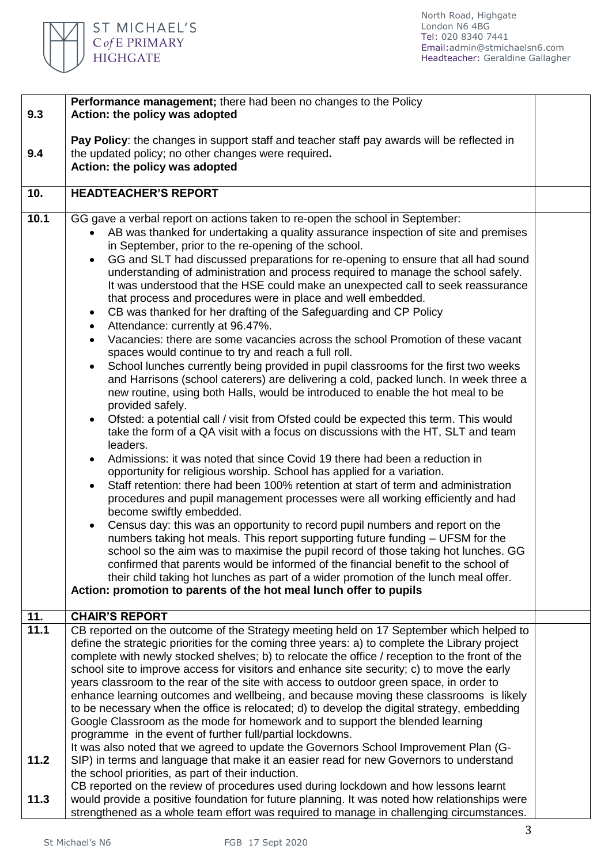

|      | Performance management; there had been no changes to the Policy                                                                                                            |  |  |
|------|----------------------------------------------------------------------------------------------------------------------------------------------------------------------------|--|--|
| 9.3  | Action: the policy was adopted                                                                                                                                             |  |  |
|      |                                                                                                                                                                            |  |  |
|      | Pay Policy: the changes in support staff and teacher staff pay awards will be reflected in                                                                                 |  |  |
| 9.4  | the updated policy; no other changes were required.                                                                                                                        |  |  |
|      | Action: the policy was adopted                                                                                                                                             |  |  |
|      |                                                                                                                                                                            |  |  |
| 10.  | <b>HEADTEACHER'S REPORT</b>                                                                                                                                                |  |  |
| 10.1 | GG gave a verbal report on actions taken to re-open the school in September:                                                                                               |  |  |
|      | • AB was thanked for undertaking a quality assurance inspection of site and premises                                                                                       |  |  |
|      | in September, prior to the re-opening of the school.                                                                                                                       |  |  |
|      | GG and SLT had discussed preparations for re-opening to ensure that all had sound<br>$\bullet$                                                                             |  |  |
|      | understanding of administration and process required to manage the school safely.                                                                                          |  |  |
|      | It was understood that the HSE could make an unexpected call to seek reassurance                                                                                           |  |  |
|      | that process and procedures were in place and well embedded.                                                                                                               |  |  |
|      |                                                                                                                                                                            |  |  |
|      | CB was thanked for her drafting of the Safeguarding and CP Policy<br>$\bullet$                                                                                             |  |  |
|      | Attendance: currently at 96.47%.<br>$\bullet$                                                                                                                              |  |  |
|      | Vacancies: there are some vacancies across the school Promotion of these vacant                                                                                            |  |  |
|      | spaces would continue to try and reach a full roll.                                                                                                                        |  |  |
|      | School lunches currently being provided in pupil classrooms for the first two weeks<br>$\bullet$                                                                           |  |  |
|      | and Harrisons (school caterers) are delivering a cold, packed lunch. In week three a                                                                                       |  |  |
|      | new routine, using both Halls, would be introduced to enable the hot meal to be                                                                                            |  |  |
|      | provided safely.                                                                                                                                                           |  |  |
|      | Ofsted: a potential call / visit from Ofsted could be expected this term. This would<br>$\bullet$                                                                          |  |  |
|      | take the form of a QA visit with a focus on discussions with the HT, SLT and team                                                                                          |  |  |
|      | leaders.                                                                                                                                                                   |  |  |
|      | Admissions: it was noted that since Covid 19 there had been a reduction in<br>$\bullet$                                                                                    |  |  |
|      | opportunity for religious worship. School has applied for a variation.                                                                                                     |  |  |
|      | Staff retention: there had been 100% retention at start of term and administration<br>$\bullet$                                                                            |  |  |
|      | procedures and pupil management processes were all working efficiently and had                                                                                             |  |  |
|      | become swiftly embedded.                                                                                                                                                   |  |  |
|      | Census day: this was an opportunity to record pupil numbers and report on the<br>$\bullet$                                                                                 |  |  |
|      | numbers taking hot meals. This report supporting future funding - UFSM for the                                                                                             |  |  |
|      | school so the aim was to maximise the pupil record of those taking hot lunches. GG                                                                                         |  |  |
|      | confirmed that parents would be informed of the financial benefit to the school of<br>their child taking hot lunches as part of a wider promotion of the lunch meal offer. |  |  |
|      | Action: promotion to parents of the hot meal lunch offer to pupils                                                                                                         |  |  |
|      |                                                                                                                                                                            |  |  |
| 11.  | <b>CHAIR'S REPORT</b>                                                                                                                                                      |  |  |
| 11.1 | CB reported on the outcome of the Strategy meeting held on 17 September which helped to                                                                                    |  |  |
|      | define the strategic priorities for the coming three years: a) to complete the Library project                                                                             |  |  |
|      | complete with newly stocked shelves; b) to relocate the office / reception to the front of the                                                                             |  |  |
|      | school site to improve access for visitors and enhance site security; c) to move the early                                                                                 |  |  |
|      | years classroom to the rear of the site with access to outdoor green space, in order to                                                                                    |  |  |
|      | enhance learning outcomes and wellbeing, and because moving these classrooms is likely                                                                                     |  |  |
|      | to be necessary when the office is relocated; d) to develop the digital strategy, embedding                                                                                |  |  |
|      | Google Classroom as the mode for homework and to support the blended learning                                                                                              |  |  |
|      | programme in the event of further full/partial lockdowns.                                                                                                                  |  |  |
|      | It was also noted that we agreed to update the Governors School Improvement Plan (G-                                                                                       |  |  |
| 11.2 | SIP) in terms and language that make it an easier read for new Governors to understand                                                                                     |  |  |
|      | the school priorities, as part of their induction.                                                                                                                         |  |  |
|      | CB reported on the review of procedures used during lockdown and how lessons learnt                                                                                        |  |  |
| 11.3 | would provide a positive foundation for future planning. It was noted how relationships were                                                                               |  |  |
|      | strengthened as a whole team effort was required to manage in challenging circumstances.                                                                                   |  |  |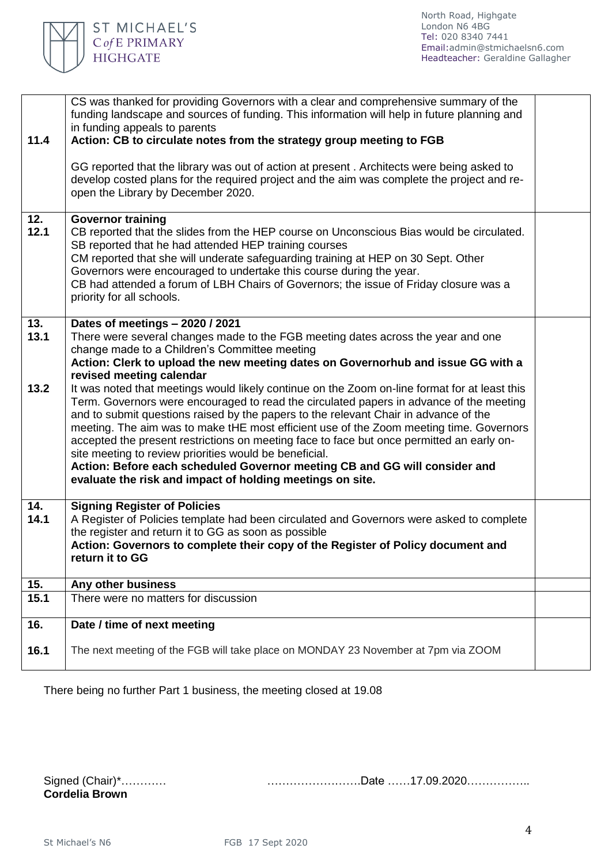

| 11.4                | CS was thanked for providing Governors with a clear and comprehensive summary of the<br>funding landscape and sources of funding. This information will help in future planning and<br>in funding appeals to parents<br>Action: CB to circulate notes from the strategy group meeting to FGB                                                                                                                                                                                                                                                                                 |  |
|---------------------|------------------------------------------------------------------------------------------------------------------------------------------------------------------------------------------------------------------------------------------------------------------------------------------------------------------------------------------------------------------------------------------------------------------------------------------------------------------------------------------------------------------------------------------------------------------------------|--|
|                     | GG reported that the library was out of action at present. Architects were being asked to<br>develop costed plans for the required project and the aim was complete the project and re-<br>open the Library by December 2020.                                                                                                                                                                                                                                                                                                                                                |  |
| 12.<br>12.1         | <b>Governor training</b><br>CB reported that the slides from the HEP course on Unconscious Bias would be circulated.<br>SB reported that he had attended HEP training courses<br>CM reported that she will underate safeguarding training at HEP on 30 Sept. Other<br>Governors were encouraged to undertake this course during the year.<br>CB had attended a forum of LBH Chairs of Governors; the issue of Friday closure was a<br>priority for all schools.                                                                                                              |  |
| 13.<br>13.1<br>13.2 | Dates of meetings - 2020 / 2021<br>There were several changes made to the FGB meeting dates across the year and one<br>change made to a Children's Committee meeting<br>Action: Clerk to upload the new meeting dates on Governorhub and issue GG with a<br>revised meeting calendar<br>It was noted that meetings would likely continue on the Zoom on-line format for at least this                                                                                                                                                                                        |  |
|                     | Term. Governors were encouraged to read the circulated papers in advance of the meeting<br>and to submit questions raised by the papers to the relevant Chair in advance of the<br>meeting. The aim was to make tHE most efficient use of the Zoom meeting time. Governors<br>accepted the present restrictions on meeting face to face but once permitted an early on-<br>site meeting to review priorities would be beneficial.<br>Action: Before each scheduled Governor meeting CB and GG will consider and<br>evaluate the risk and impact of holding meetings on site. |  |
| 14.<br>14.1         | <b>Signing Register of Policies</b><br>A Register of Policies template had been circulated and Governors were asked to complete<br>the register and return it to GG as soon as possible<br>Action: Governors to complete their copy of the Register of Policy document and<br>return it to GG                                                                                                                                                                                                                                                                                |  |
| 15.                 | Any other business                                                                                                                                                                                                                                                                                                                                                                                                                                                                                                                                                           |  |
| 15.1                | There were no matters for discussion                                                                                                                                                                                                                                                                                                                                                                                                                                                                                                                                         |  |
| 16.                 | Date / time of next meeting                                                                                                                                                                                                                                                                                                                                                                                                                                                                                                                                                  |  |
| 16.1                | The next meeting of the FGB will take place on MONDAY 23 November at 7pm via ZOOM                                                                                                                                                                                                                                                                                                                                                                                                                                                                                            |  |
|                     |                                                                                                                                                                                                                                                                                                                                                                                                                                                                                                                                                                              |  |

There being no further Part 1 business, the meeting closed at 19.08

| Signed (Chair)*       | Date 17.09.2020 |  |
|-----------------------|-----------------|--|
| <b>Cordelia Brown</b> |                 |  |